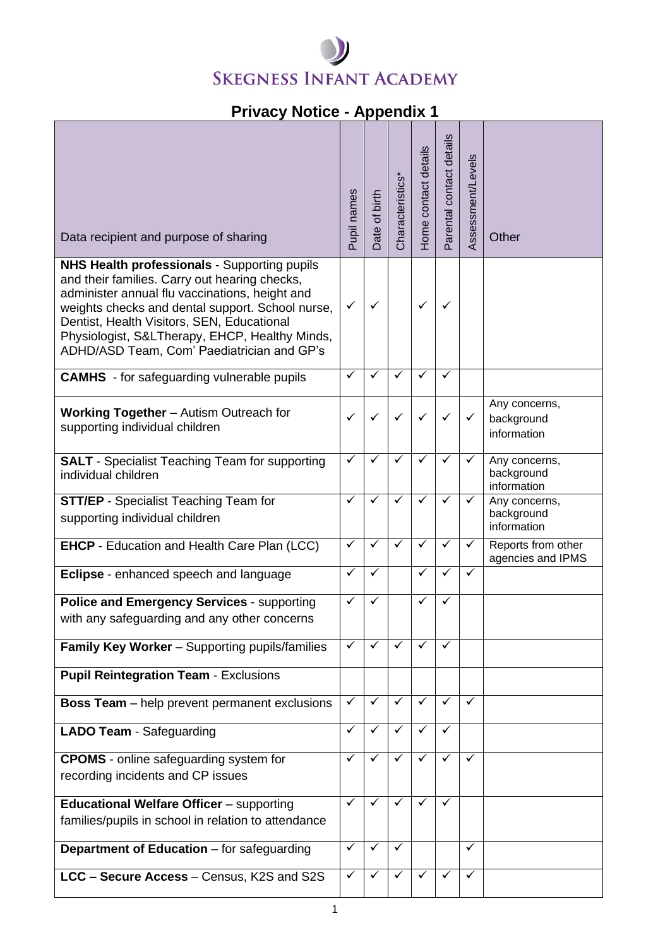## **SKEGNESS INFANT ACADEMY**

## **Privacy Notice - Appendix 1**

| Data recipient and purpose of sharing<br><b>NHS Health professionals - Supporting pupils</b>                                                                                                                                                                                                      | Pupil names  | Date of birth | Characteristics* | Home contact details | Parental contact details | Assessment/Levels | Other                                      |
|---------------------------------------------------------------------------------------------------------------------------------------------------------------------------------------------------------------------------------------------------------------------------------------------------|--------------|---------------|------------------|----------------------|--------------------------|-------------------|--------------------------------------------|
| and their families. Carry out hearing checks,<br>administer annual flu vaccinations, height and<br>weights checks and dental support. School nurse,<br>Dentist, Health Visitors, SEN, Educational<br>Physiologist, S&LTherapy, EHCP, Healthy Minds,<br>ADHD/ASD Team, Com' Paediatrician and GP's | ✓            | ✓             |                  | ✓                    | ✓                        |                   |                                            |
| <b>CAMHS</b> - for safeguarding vulnerable pupils                                                                                                                                                                                                                                                 | $\checkmark$ | $\checkmark$  | $\checkmark$     | $\checkmark$         | ✓                        |                   |                                            |
| <b>Working Together - Autism Outreach for</b><br>supporting individual children                                                                                                                                                                                                                   | $\checkmark$ | ✓             | $\checkmark$     | ✓                    | ✓                        | ✓                 | Any concerns,<br>background<br>information |
| <b>SALT</b> - Specialist Teaching Team for supporting<br>individual children                                                                                                                                                                                                                      | $\checkmark$ | ✓             | $\checkmark$     | $\checkmark$         | ✓                        | ✓                 | Any concerns,<br>background<br>information |
| <b>STT/EP</b> - Specialist Teaching Team for<br>supporting individual children                                                                                                                                                                                                                    | $\checkmark$ | ✓             | $\checkmark$     | ✓                    | $\checkmark$             | ✓                 | Any concerns,<br>background<br>information |
| <b>EHCP</b> - Education and Health Care Plan (LCC)                                                                                                                                                                                                                                                | $\checkmark$ | ✓             | $\checkmark$     | ✓                    | $\checkmark$             | ✓                 | Reports from other<br>agencies and IPMS    |
| Eclipse - enhanced speech and language                                                                                                                                                                                                                                                            | $\checkmark$ | ✓             |                  | $\checkmark$         | ✓                        | ✓                 |                                            |
| Police and Emergency Services - supporting<br>with any safeguarding and any other concerns                                                                                                                                                                                                        | $\checkmark$ | ✓             |                  | ✓                    | ✓                        |                   |                                            |
| <b>Family Key Worker</b> - Supporting pupils/families                                                                                                                                                                                                                                             | $\checkmark$ | ✓             | $\checkmark$     | ✓                    | ✓                        |                   |                                            |
| <b>Pupil Reintegration Team - Exclusions</b>                                                                                                                                                                                                                                                      |              |               |                  |                      |                          |                   |                                            |
| <b>Boss Team</b> – help prevent permanent exclusions                                                                                                                                                                                                                                              | $\checkmark$ | $\checkmark$  | $\checkmark$     | $\checkmark$         | ✓                        | $\checkmark$      |                                            |
| <b>LADO Team - Safeguarding</b>                                                                                                                                                                                                                                                                   | $\checkmark$ | ✓             | $\checkmark$     | $\checkmark$         | $\checkmark$             |                   |                                            |
| <b>CPOMS</b> - online safeguarding system for<br>recording incidents and CP issues                                                                                                                                                                                                                | $\checkmark$ | $\checkmark$  | $\checkmark$     | $\checkmark$         | $\checkmark$             | $\checkmark$      |                                            |
| <b>Educational Welfare Officer</b> - supporting<br>families/pupils in school in relation to attendance                                                                                                                                                                                            | $\checkmark$ | $\checkmark$  | $\checkmark$     | ✓                    | ✓                        |                   |                                            |
| Department of Education - for safeguarding                                                                                                                                                                                                                                                        | $\checkmark$ | ✓             | ✓                |                      |                          | ✓                 |                                            |
| LCC - Secure Access - Census, K2S and S2S                                                                                                                                                                                                                                                         | ✓            |               | ✓                | ✓                    |                          | ✓                 |                                            |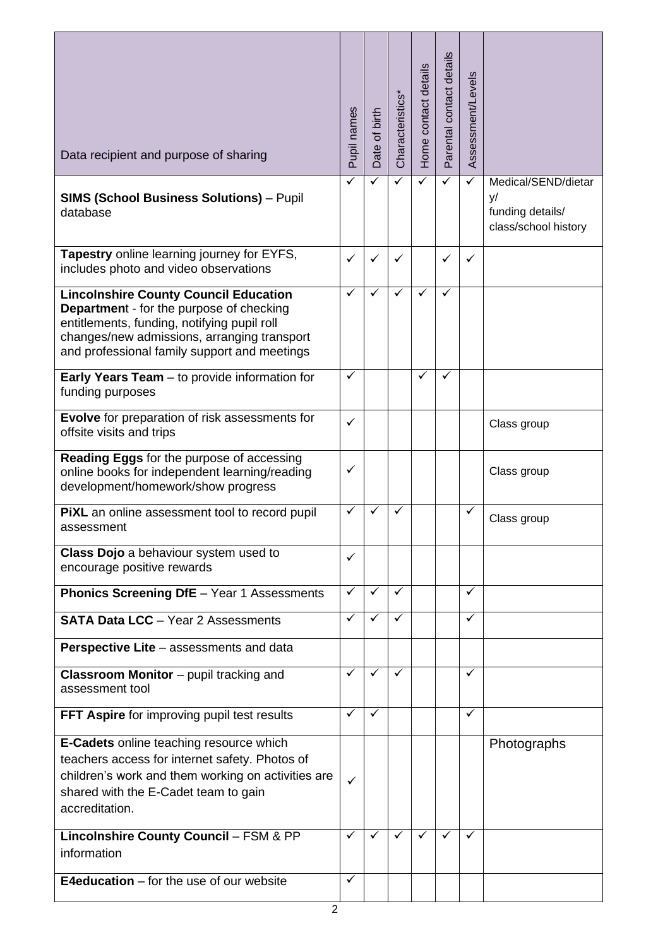| Data recipient and purpose of sharing                                                                                                                                                                                                         | Pupil names  | Date of birth | Characteristics <sup>*</sup> | Home contact details | Parental contact details | Assessment/Levels |                                                                       |
|-----------------------------------------------------------------------------------------------------------------------------------------------------------------------------------------------------------------------------------------------|--------------|---------------|------------------------------|----------------------|--------------------------|-------------------|-----------------------------------------------------------------------|
| <b>SIMS (School Business Solutions)</b> - Pupil<br>database                                                                                                                                                                                   | ✓            |               |                              | ✓                    | ✓                        | ✓                 | Medical/SEND/dietar<br>y/<br>funding details/<br>class/school history |
| Tapestry online learning journey for EYFS,<br>includes photo and video observations                                                                                                                                                           | ✓            | $\checkmark$  | ✓                            |                      | $\checkmark$             | ✓                 |                                                                       |
| <b>Lincolnshire County Council Education</b><br><b>Department - for the purpose of checking</b><br>entitlements, funding, notifying pupil roll<br>changes/new admissions, arranging transport<br>and professional family support and meetings | $\checkmark$ | ✓             | ✓                            | ✓                    | ✓                        |                   |                                                                       |
| Early Years Team - to provide information for<br>funding purposes                                                                                                                                                                             | $\checkmark$ |               |                              | ✓                    | ✓                        |                   |                                                                       |
| Evolve for preparation of risk assessments for<br>offsite visits and trips                                                                                                                                                                    | $\checkmark$ |               |                              |                      |                          |                   | Class group                                                           |
| Reading Eggs for the purpose of accessing<br>online books for independent learning/reading<br>development/homework/show progress                                                                                                              | ✓            |               |                              |                      |                          |                   | Class group                                                           |
| <b>PIXL</b> an online assessment tool to record pupil<br>assessment                                                                                                                                                                           | $\checkmark$ | $\checkmark$  | ✓                            |                      |                          | ✓                 | Class group                                                           |
| Class Dojo a behaviour system used to<br>encourage positive rewards                                                                                                                                                                           | $\checkmark$ |               |                              |                      |                          |                   |                                                                       |
| <b>Phonics Screening DfE</b> - Year 1 Assessments                                                                                                                                                                                             | $\checkmark$ | $\checkmark$  | $\checkmark$                 |                      |                          | ✓                 |                                                                       |
| <b>SATA Data LCC</b> - Year 2 Assessments                                                                                                                                                                                                     | $\checkmark$ | ✓             | $\checkmark$                 |                      |                          | ✓                 |                                                                       |
| <b>Perspective Lite - assessments and data</b>                                                                                                                                                                                                |              |               |                              |                      |                          |                   |                                                                       |
| <b>Classroom Monitor</b> – pupil tracking and<br>assessment tool                                                                                                                                                                              | ✓            | $\checkmark$  | ✓                            |                      |                          | ✓                 |                                                                       |
| FFT Aspire for improving pupil test results                                                                                                                                                                                                   | $\checkmark$ | ✓             |                              |                      |                          | ✓                 |                                                                       |
| E-Cadets online teaching resource which<br>teachers access for internet safety. Photos of<br>children's work and them working on activities are<br>shared with the E-Cadet team to gain<br>accreditation.                                     | ✓            |               |                              |                      |                          |                   | Photographs                                                           |
| <b>Lincolnshire County Council - FSM &amp; PP</b><br>information                                                                                                                                                                              | $\checkmark$ | ✓             | ✓                            |                      |                          |                   |                                                                       |
| <b>E4education</b> $-$ for the use of our website                                                                                                                                                                                             | ✓            |               |                              |                      |                          |                   |                                                                       |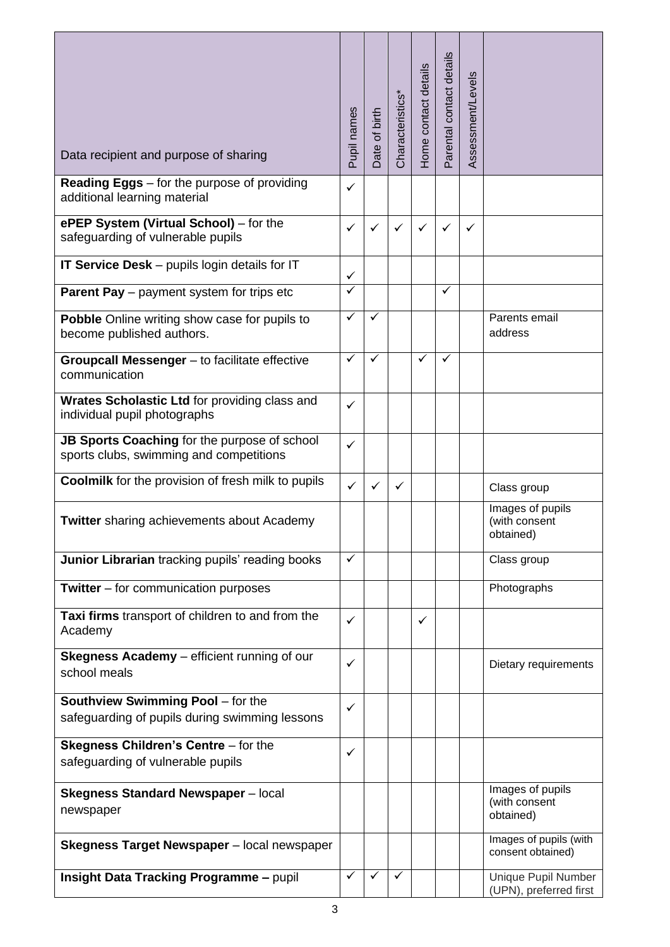| Data recipient and purpose of sharing                                                      | Pupil names             | Date of birth | Characteristics* | Home contact details | Parental contact details | Assessment/Levels |                                                |
|--------------------------------------------------------------------------------------------|-------------------------|---------------|------------------|----------------------|--------------------------|-------------------|------------------------------------------------|
| <b>Reading Eggs</b> – for the purpose of providing<br>additional learning material         | $\checkmark$            |               |                  |                      |                          |                   |                                                |
| ePEP System (Virtual School) - for the<br>safeguarding of vulnerable pupils                | ✓                       | ✓             | ✓                | ✓                    | ✓                        | ✓                 |                                                |
| <b>IT Service Desk</b> – pupils login details for IT                                       | ✓                       |               |                  |                      |                          |                   |                                                |
| <b>Parent Pay</b> – payment system for trips etc                                           | $\checkmark$            |               |                  |                      | $\checkmark$             |                   |                                                |
| Pobble Online writing show case for pupils to<br>become published authors.                 | $\overline{\checkmark}$ | $\checkmark$  |                  |                      |                          |                   | Parents email<br>address                       |
| Groupcall Messenger - to facilitate effective<br>communication                             | $\checkmark$            | $\checkmark$  |                  | ✓                    | ✓                        |                   |                                                |
| Wrates Scholastic Ltd for providing class and<br>individual pupil photographs              | $\checkmark$            |               |                  |                      |                          |                   |                                                |
| JB Sports Coaching for the purpose of school<br>sports clubs, swimming and competitions    | ✓                       |               |                  |                      |                          |                   |                                                |
| <b>Coolmilk</b> for the provision of fresh milk to pupils                                  | $\checkmark$            | ✓             | $\checkmark$     |                      |                          |                   | Class group                                    |
| <b>Twitter</b> sharing achievements about Academy                                          |                         |               |                  |                      |                          |                   | Images of pupils<br>(with consent<br>obtained) |
| Junior Librarian tracking pupils' reading books                                            | ✓                       |               |                  |                      |                          |                   | Class group                                    |
| <b>Twitter</b> $-$ for communication purposes                                              |                         |               |                  |                      |                          |                   | Photographs                                    |
| Taxi firms transport of children to and from the<br>Academy                                | ✓                       |               |                  | ✓                    |                          |                   |                                                |
| Skegness Academy - efficient running of our<br>school meals                                | ✓                       |               |                  |                      |                          |                   | Dietary requirements                           |
| <b>Southview Swimming Pool - for the</b><br>safeguarding of pupils during swimming lessons | $\checkmark$            |               |                  |                      |                          |                   |                                                |
| <b>Skegness Children's Centre - for the</b><br>safeguarding of vulnerable pupils           | ✓                       |               |                  |                      |                          |                   |                                                |
| <b>Skegness Standard Newspaper</b> - local<br>newspaper                                    |                         |               |                  |                      |                          |                   | Images of pupils<br>(with consent<br>obtained) |
| Skegness Target Newspaper - local newspaper                                                |                         |               |                  |                      |                          |                   | Images of pupils (with<br>consent obtained)    |
| <b>Insight Data Tracking Programme - pupil</b>                                             | $\checkmark$            | ✓             | ✓                |                      |                          |                   | Unique Pupil Number<br>(UPN), preferred first  |